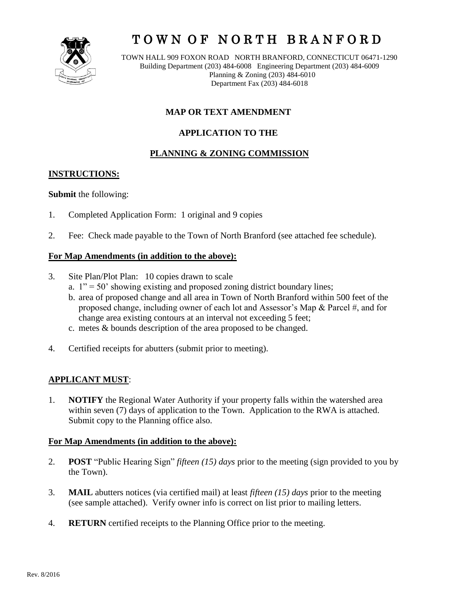

# T O W N O F N O R T H B R A N F O R D

TOWN HALL 909 FOXON ROAD NORTH BRANFORD, CONNECTICUT 06471-1290 Building Department (203) 484-6008 Engineering Department (203) 484-6009 Planning & Zoning (203) 484-6010 Department Fax (203) 484-6018

# **MAP OR TEXT AMENDMENT**

# **APPLICATION TO THE**

# **PLANNING & ZONING COMMISSION**

# **INSTRUCTIONS:**

### **Submit** the following:

- 1. Completed Application Form: 1 original and 9 copies
- 2. Fee: Check made payable to the Town of North Branford (see attached fee schedule).

## **For Map Amendments (in addition to the above):**

- 3. Site Plan/Plot Plan: 10 copies drawn to scale
	- a.  $1" = 50'$  showing existing and proposed zoning district boundary lines;
	- b. area of proposed change and all area in Town of North Branford within 500 feet of the proposed change, including owner of each lot and Assessor's Map & Parcel #, and for change area existing contours at an interval not exceeding 5 feet;
	- c. metes & bounds description of the area proposed to be changed.
- 4. Certified receipts for abutters (submit prior to meeting).

# **APPLICANT MUST**:

1. **NOTIFY** the Regional Water Authority if your property falls within the watershed area within seven (7) days of application to the Town. Application to the RWA is attached. Submit copy to the Planning office also.

## **For Map Amendments (in addition to the above):**

- 2. **POST** "Public Hearing Sign" *fifteen (15) days* prior to the meeting (sign provided to you by the Town).
- 3. **MAIL** abutters notices (via certified mail) at least *fifteen (15) days* prior to the meeting (see sample attached). Verify owner info is correct on list prior to mailing letters.
- 4. **RETURN** certified receipts to the Planning Office prior to the meeting.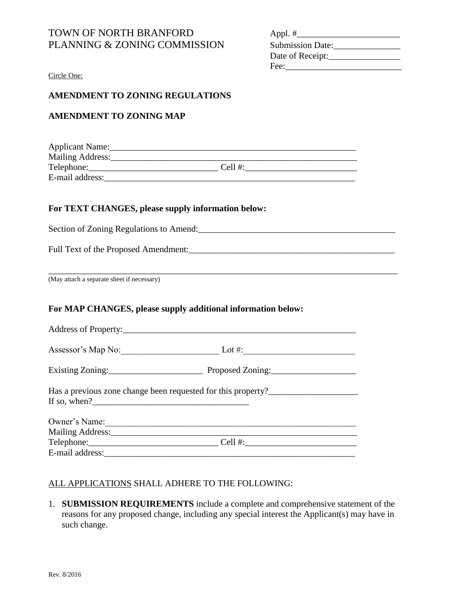# TOWN OF NORTH BRANFORD PLANNING & ZONING COMMISSION

| Appl. $\#$ <sub>——</sub> |
|--------------------------|
| <b>Submission Date:</b>  |
| Date of Receipt:         |
| Fee:                     |

Circle One:

### **AMENDMENT TO ZONING REGULATIONS**

## **AMENDMENT TO ZONING MAP**

| <b>Applicant Name:</b> |            |
|------------------------|------------|
| Mailing Address:       |            |
| Telephone:             | Cell $#$ : |
| E-mail address:        |            |

\_\_\_\_\_\_\_\_\_\_\_\_\_\_\_\_\_\_\_\_\_\_\_\_\_\_\_\_\_\_\_\_\_\_\_\_\_\_\_\_\_\_\_\_\_\_\_\_\_\_\_\_\_\_\_\_\_\_\_\_\_\_\_\_\_\_\_\_\_\_\_\_\_\_\_\_\_\_

#### **For TEXT CHANGES, please supply information below:**

Section of Zoning Regulations to Amend:\_\_\_\_\_\_\_\_\_\_\_\_\_\_\_\_\_\_\_\_\_\_\_\_\_\_\_\_\_\_\_\_\_\_\_\_\_\_\_\_\_\_\_\_

Full Text of the Proposed Amendment:\_\_\_\_\_\_\_\_\_\_\_\_\_\_\_\_\_\_\_\_\_\_\_\_\_\_\_\_\_\_\_\_\_\_\_\_\_\_\_\_\_\_\_\_\_\_

(May attach a separate sheet if necessary)

#### **For MAP CHANGES, please supply additional information below:**

|                                                                              | Assessor's Map No: Lot #: Lot #: |  |  |
|------------------------------------------------------------------------------|----------------------------------|--|--|
|                                                                              |                                  |  |  |
| Has a previous zone change been requested for this property?<br>If so, when? |                                  |  |  |
| Owner's Name:                                                                |                                  |  |  |
|                                                                              |                                  |  |  |
|                                                                              |                                  |  |  |
|                                                                              |                                  |  |  |

#### ALL APPLICATIONS SHALL ADHERE TO THE FOLLOWING:

1. **SUBMISSION REQUIREMENTS** include a complete and comprehensive statement of the reasons for any proposed change, including any special interest the Applicant(s) may have in such change.